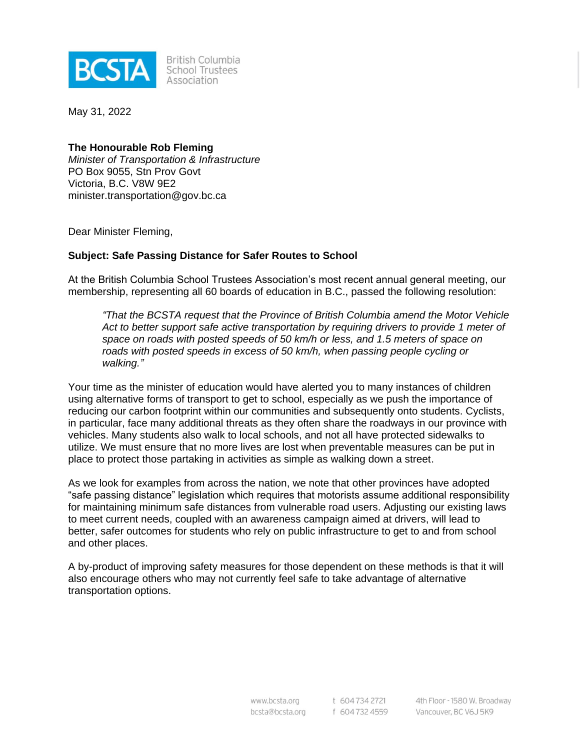

**British Columbia** School Trustees Association

May 31, 2022

## **The Honourable Rob Fleming**

*Minister of Transportation & Infrastructure* PO Box 9055, Stn Prov Govt Victoria, B.C. V8W 9E2 minister.transportation@gov.bc.ca

Dear Minister Fleming,

## **Subject: Safe Passing Distance for Safer Routes to School**

At the British Columbia School Trustees Association's most recent annual general meeting, our membership, representing all 60 boards of education in B.C., passed the following resolution:

*"That the BCSTA request that the Province of British Columbia amend the Motor Vehicle Act to better support safe active transportation by requiring drivers to provide 1 meter of space on roads with posted speeds of 50 km/h or less, and 1.5 meters of space on roads with posted speeds in excess of 50 km/h, when passing people cycling or walking."*

Your time as the minister of education would have alerted you to many instances of children using alternative forms of transport to get to school, especially as we push the importance of reducing our carbon footprint within our communities and subsequently onto students. Cyclists, in particular, face many additional threats as they often share the roadways in our province with vehicles. Many students also walk to local schools, and not all have protected sidewalks to utilize. We must ensure that no more lives are lost when preventable measures can be put in place to protect those partaking in activities as simple as walking down a street.

As we look for examples from across the nation, we note that other provinces have adopted "safe passing distance" legislation which requires that motorists assume additional responsibility for maintaining minimum safe distances from vulnerable road users. Adjusting our existing laws to meet current needs, coupled with an awareness campaign aimed at drivers, will lead to better, safer outcomes for students who rely on public infrastructure to get to and from school and other places.

A by-product of improving safety measures for those dependent on these methods is that it will also encourage others who may not currently feel safe to take advantage of alternative transportation options.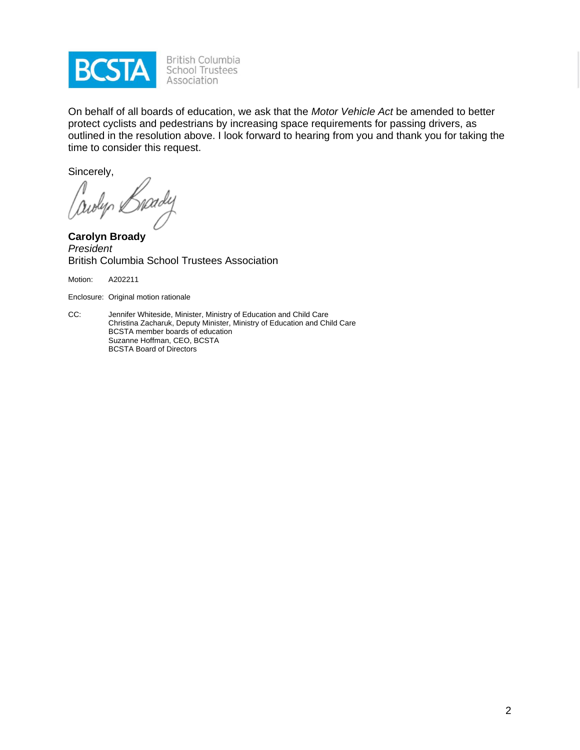

On behalf of all boards of education, we ask that the *Motor Vehicle Act* be amended to better protect cyclists and pedestrians by increasing space requirements for passing drivers, as outlined in the resolution above. I look forward to hearing from you and thank you for taking the time to consider this request.

Sincerely,

awyr 2

**Carolyn Broady** *President* British Columbia School Trustees Association

Motion: A202211

Enclosure: Original motion rationale

CC: Jennifer Whiteside, Minister, Ministry of Education and Child Care Christina Zacharuk, Deputy Minister, Ministry of Education and Child Care BCSTA member boards of education Suzanne Hoffman, CEO, BCSTA BCSTA Board of Directors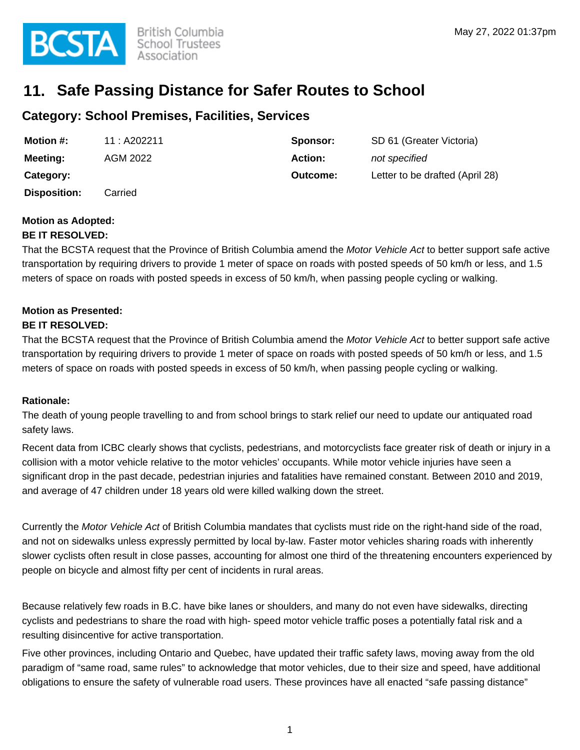# **11. Safe Passing Distance for Safer Routes to School**

## **Category: School Premises, Facilities, Services**

| <b>Motion #:</b>    | 11 : A202211 | Sponsor: | SD 61 (Greater Victoria)        |
|---------------------|--------------|----------|---------------------------------|
| <b>Meeting:</b>     | AGM 2022     | Action:  | not specified                   |
| Category:           |              | Outcome: | Letter to be drafted (April 28) |
| <b>Disposition:</b> | Carried      |          |                                 |

#### **Motion as Adopted: BE IT RESOLVED:**

## That the BCSTA request that the Province of British Columbia amend the Motor Vehicle Act to better support safe active transportation by requiring drivers to provide 1 meter of space on roads with posted speeds of 50 km/h or less, and 1.5 meters of space on roads with posted speeds in excess of 50 km/h, when passing people cycling or walking.

## **Motion as Presented:**

### **BE IT RESOLVED:**

That the BCSTA request that the Province of British Columbia amend the Motor Vehicle Act to better support safe active transportation by requiring drivers to provide 1 meter of space on roads with posted speeds of 50 km/h or less, and 1.5 meters of space on roads with posted speeds in excess of 50 km/h, when passing people cycling or walking.

### **Rationale:**

The death of young people travelling to and from school brings to stark relief our need to update our antiquated road safety laws.

Recent data from ICBC clearly shows that cyclists, pedestrians, and motorcyclists face greater risk of death or injury in a collision with a motor vehicle relative to the motor vehicles' occupants. While motor vehicle injuries have seen a significant drop in the past decade, pedestrian injuries and fatalities have remained constant. Between 2010 and 2019, and average of 47 children under 18 years old were killed walking down the street.

Currently the Motor Vehicle Act of British Columbia mandates that cyclists must ride on the right-hand side of the road, and not on sidewalks unless expressly permitted by local by-law. Faster motor vehicles sharing roads with inherently slower cyclists often result in close passes, accounting for almost one third of the threatening encounters experienced by people on bicycle and almost fifty per cent of incidents in rural areas.

Because relatively few roads in B.C. have bike lanes or shoulders, and many do not even have sidewalks, directing cyclists and pedestrians to share the road with high- speed motor vehicle traffic poses a potentially fatal risk and a resulting disincentive for active transportation.

Five other provinces, including Ontario and Quebec, have updated their traffic safety laws, moving away from the old paradigm of "same road, same rules" to acknowledge that motor vehicles, due to their size and speed, have additional obligations to ensure the safety of vulnerable road users. These provinces have all enacted "safe passing distance"